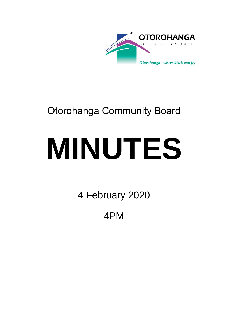

# Ōtorohanga Community Board

# **MINUTES**

4 February 2020

4PM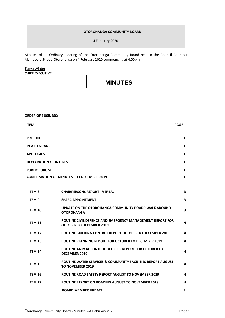# **ŌTOROHANGA COMMUNITY BOARD**

4 February 2020

Minutes of an Ordinary meeting of the Ōtorohanga Community Board held in the Council Chambers, Maniapoto Street, Ōtorohanga on 4 February 2020 commencing at 4.00pm.

Tanya Winter **CHIEF EXECUTIVE**

**MINUTES**

**ORDER OF BUSINESS:**

| <b>ITEM</b>                                       |                                                                                              | <b>PAGE</b>  |
|---------------------------------------------------|----------------------------------------------------------------------------------------------|--------------|
| <b>PRESENT</b>                                    |                                                                                              | 1            |
| <b>IN ATTENDANCE</b>                              |                                                                                              | 1            |
| <b>APOLOGIES</b>                                  |                                                                                              | 1            |
| <b>DECLARATION OF INTEREST</b>                    |                                                                                              | 1            |
| <b>PUBLIC FORUM</b>                               |                                                                                              | 1            |
| <b>CONFIRMATION OF MINUTES - 11 DECEMBER 2019</b> |                                                                                              | $\mathbf{1}$ |
|                                                   |                                                                                              |              |
| <b>ITEM 8</b>                                     | <b>CHAIRPERSONS REPORT - VERBAL</b>                                                          | 3            |
| <b>ITEM 9</b>                                     | <b>SPARC APPOINTMENT</b>                                                                     | 3            |
| <b>ITEM 10</b>                                    | UPDATE ON THE OTOROHANGA COMMUNITY BOARD WALK AROUND<br><b>ŌTOROHANGA</b>                    | 3            |
| <b>ITEM 11</b>                                    | ROUTINE CIVIL DEFENCE AND EMERGENCY MANAGEMENT REPORT FOR<br><b>OCTOBER TO DECEMBER 2019</b> | 4            |
| <b>ITEM 12</b>                                    | ROUTINE BUILDING CONTROL REPORT OCTOBER TO DECEMBER 2019                                     | 4            |
| <b>ITEM 13</b>                                    | ROUTINE PLANNING REPORT FOR OCTOBER TO DECEMBER 2019                                         | 4            |
| ITEM 14                                           | ROUTINE ANIMAL CONTROL OFFICERS REPORT FOR OCTOBER TO<br><b>DECEMBER 2019</b>                | 4            |
| <b>ITEM 15</b>                                    | ROUTINE WATER SERVICES & COMMUNITY FACILITIES REPORT AUGUST<br>TO NOVEMBER 2019              | 4            |
| <b>ITEM 16</b>                                    | ROUTINE ROAD SAFETY REPORT AUGUST TO NOVEMBER 2019                                           | 4            |
| <b>ITEM 17</b>                                    | <b>ROUTINE REPORT ON ROADING AUGUST TO NOVEMBER 2019</b>                                     | 4            |
|                                                   | <b>BOARD MEMBER UPDATE</b>                                                                   | 5            |
|                                                   |                                                                                              |              |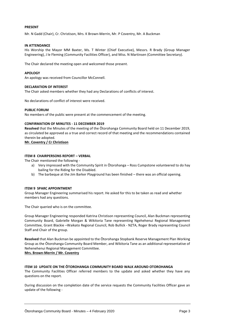# **PRESENT**

Mr. N Gadd (Chair), Cr. Christison, Mrs. K Brown-Merrin, Mr. P Coventry, Mr. A Buckman

# **IN ATTENDANCE**

His Worship the Mayor MM Baxter, Ms. T Winter (Chief Executive), Messrs. R Brady (Group Manager Engineering), J le Fleming (Community Facilities Officer), and Miss. N Martinsen (Committee Secretary).

The Chair declared the meeting open and welcomed those present.

## **APOLOGY**

An apology was received from Councillor McConnell.

#### **DECLARATION OF INTEREST**

The Chair asked members whether they had any Declarations of conflicts of interest.

No declarations of conflict of interest were received.

#### **PUBLIC FORUM**

No members of the public were present at the commencement of the meeting.

#### **CONFIRMATION OF MINUTES - 11 DECEMBER 2019**

**Resolved** that the Minutes of the meeting of the Ōtorohanga Community Board held on 11 December 2019, as circulated be approved as a true and correct record of that meeting and the recommendations contained therein be adopted.

**Mr. Coventry / Cr Christison**

#### **ITEM 8 CHAIRPERSONS REPORT – VERBAL**

The Chair mentioned the following -

- a) Very impressed with the Community Spirit in Ōtorohanga Ross Cumpstone volunteered to do hay bailing for the Riding for the Disabled.
- b) The barbeque at the Jim Barker Playground has been finished there was an official opening.

#### **ITEM 9 SPARC APPOINTMENT**

Group Manager Engineering summarised his report. He asked for this to be taken as read and whether members had any questions.

The Chair queried who is on the committee.

Group Manager Engineering responded Katrina Christison representing Council, Alan Buckman representing Community Board, Gabrielle Morgan & Wikitoria Tane representing Ngehehenui Regional Management Committee, Grant Blackie –Waikato Regional Council, Rob Bullick - NZTA, Roger Brady representing Council Staff and Chair of the group.

**Resolved** that Alan Buckman be appointed to the Ōtorohanga Stopbank Reserve Management Plan Working Group as the Ōtorohanga Community Board Member, and Wikitoria Tane as an additional representative of Nehenehenui Regional Management Committee.

**Mrs. Brown-Merrin / Mr. Coventry**

#### **ITEM 10 UPDATE ON THE ŌTOROHANGA COMMUNITY BOARD WALK AROUND OTOROHANGA**

The Community Facilities Officer referred members to the update and asked whether they have any questions on the report.

During discussion on the completion date of the service requests the Community Facilities Officer gave an update of the following -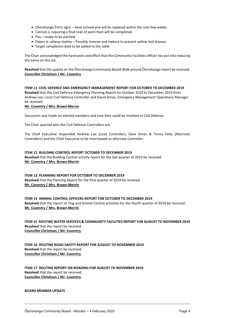- Otorohanga Entry signs have arrived and will be replaced within the next few weeks.
- Cannon is requiring a final coat of paint then will be completed.
- $\bullet$  Pou ready to be painted.
- Flaxes at railway station Possibly remove and replace to prevent yellow leaf disease.
- Target completion date to be added to the table.

The Chair acknowledged the hard work and effort that the Community Facilities Officer has put into reducing the items on this list.

**Resolved** that the update on the Ōtorohanga Community Board Walk around Ōtorohanga report be received. **Councillor Christison / Mr. Coventry**

**ITEM 11 CIVIL DEFENCE AND EMERGENCY MANAGEMENT REPORT FOR OCTOBER TO DECEMBER 2019 Resolved** that the Civil Defence Emergency Planning Report for October 2019 to December 2019 from Andrew Loe, Local Civil Defence Controller and David Simes, Emergency Management Operations Manager be received.

# **Mr. Coventry / Mrs. Brown-Merrin**

Discussion was made on elected members and how they could be involved in Civil Defense.

The Chair queried who the Civil Defence Controllers are.

The Chief Executive responded Andrew Loe (Lead Controller), Dave Simes & Terina Kelly (Alternate Controllers) and the Chief Executive to be interviewed as alternate Controller.

# **ITEM 12 BUILDING CONTROL REPORT OCTOBER TO DECEMBER 2019**

**Resolved** that the Building Control activity report for the last quarter of 2019 be received. **Mr. Coventry / Mrs. Brown-Merrin**

# **ITEM 13 PLANNING REPORT FOR OCTOBER TO DECEMBER 2019**

**Resolved** that the Planning Report for the final quarter of 2019 be received. **Mr. Coventry / Mrs. Brown-Merrin**

**ITEM 14 ANIMAL CONTROL OFFICERS REPORT FOR OCTOBER TO DECEMBER 2019 Resolved** that the report on Dog and Animal Control activities for the fourth quarter of 2019 be received. **Mr. Coventry / Mrs. Brown-Merrin**

**ITEM 15 ROUTINE WATER SERVICES & COMMUNITY FACILITIES REPORT FOR AUGUST TO NOVEMBER 2019 Resolved** that the report be received. **Councillor Christison / Mr. Coventry**

**ITEM 16 ROUTINE ROAD SAFETY REPORT FOR AUGUST TO NOVEMBER 2019 Resolved** that the report be received. **Councillor Christison / Mr. Coventry**

**ITEM 17 ROUTINE REPORT ON ROADING FOR AUGUST TO NOVEMBER 2019 Resolved** that the report be received. **Councillor Christison / Mr. Coventry**

#### **BOARD MEMBER UPDATE**